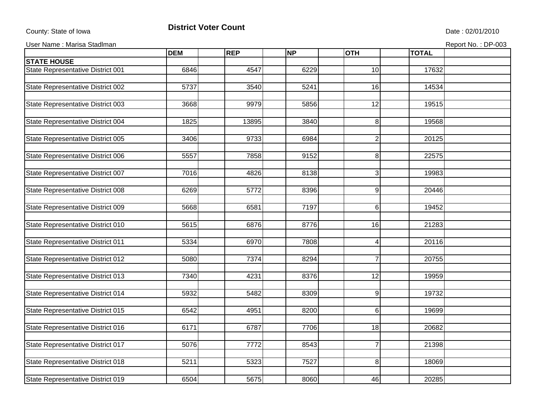## County: State of Iowa **District Voter Count** Description of the United State : 02/01/2010

User Name : Marisa Stadlman **Report No. : DP-003** Report No. : DP-003

| 6846<br>10<br>17632<br>4547<br>6229<br>5737<br>14534<br>State Representative District 002<br>3540<br>5241<br>16<br>9979<br>12<br>3668<br>5856<br>19515<br>State Representative District 004<br>1825<br>13895<br>8<br>19568<br>3840<br>$\boldsymbol{2}$<br>3406<br>9733<br>6984<br>20125<br>State Representative District 006<br>8<br>5557<br>7858<br>9152<br>22575<br>7016<br>4826<br>8138<br>3<br>19983<br>6269<br>5772<br>8396<br>$9\,$<br>20446<br>7197<br>$6\phantom{.}$<br>5668<br>6581<br>19452<br>5615<br>16<br>21283<br>6876<br>8776<br>5334<br>$\overline{4}$<br>State Representative District 011<br>6970<br>7808<br>20116<br>$\overline{7}$<br>5080<br>7374<br>20755<br>8294<br>State Representative District 013<br>7340<br>4231<br>$\overline{12}$<br>8376<br>19959<br>5932<br>5482<br>9<br>19732<br>8309<br>State Representative District 015<br>6542<br>4951<br>$6 \,$<br>19699<br>8200<br>State Representative District 016<br>6171<br>6787<br>7706<br>18<br>20682<br>$\overline{7}$<br>5076<br>7772<br>8543<br>21398<br>5211<br>5323<br>7527<br>8<br>18069 |                                   | <b>DEM</b> | <b>REP</b> | <b>NP</b> | <b>OTH</b> | <b>TOTAL</b> |  |
|-----------------------------------------------------------------------------------------------------------------------------------------------------------------------------------------------------------------------------------------------------------------------------------------------------------------------------------------------------------------------------------------------------------------------------------------------------------------------------------------------------------------------------------------------------------------------------------------------------------------------------------------------------------------------------------------------------------------------------------------------------------------------------------------------------------------------------------------------------------------------------------------------------------------------------------------------------------------------------------------------------------------------------------------------------------------------------|-----------------------------------|------------|------------|-----------|------------|--------------|--|
|                                                                                                                                                                                                                                                                                                                                                                                                                                                                                                                                                                                                                                                                                                                                                                                                                                                                                                                                                                                                                                                                             | <b>STATE HOUSE</b>                |            |            |           |            |              |  |
|                                                                                                                                                                                                                                                                                                                                                                                                                                                                                                                                                                                                                                                                                                                                                                                                                                                                                                                                                                                                                                                                             | State Representative District 001 |            |            |           |            |              |  |
|                                                                                                                                                                                                                                                                                                                                                                                                                                                                                                                                                                                                                                                                                                                                                                                                                                                                                                                                                                                                                                                                             |                                   |            |            |           |            |              |  |
|                                                                                                                                                                                                                                                                                                                                                                                                                                                                                                                                                                                                                                                                                                                                                                                                                                                                                                                                                                                                                                                                             |                                   |            |            |           |            |              |  |
|                                                                                                                                                                                                                                                                                                                                                                                                                                                                                                                                                                                                                                                                                                                                                                                                                                                                                                                                                                                                                                                                             | State Representative District 003 |            |            |           |            |              |  |
|                                                                                                                                                                                                                                                                                                                                                                                                                                                                                                                                                                                                                                                                                                                                                                                                                                                                                                                                                                                                                                                                             |                                   |            |            |           |            |              |  |
|                                                                                                                                                                                                                                                                                                                                                                                                                                                                                                                                                                                                                                                                                                                                                                                                                                                                                                                                                                                                                                                                             |                                   |            |            |           |            |              |  |
|                                                                                                                                                                                                                                                                                                                                                                                                                                                                                                                                                                                                                                                                                                                                                                                                                                                                                                                                                                                                                                                                             | State Representative District 005 |            |            |           |            |              |  |
|                                                                                                                                                                                                                                                                                                                                                                                                                                                                                                                                                                                                                                                                                                                                                                                                                                                                                                                                                                                                                                                                             |                                   |            |            |           |            |              |  |
|                                                                                                                                                                                                                                                                                                                                                                                                                                                                                                                                                                                                                                                                                                                                                                                                                                                                                                                                                                                                                                                                             |                                   |            |            |           |            |              |  |
|                                                                                                                                                                                                                                                                                                                                                                                                                                                                                                                                                                                                                                                                                                                                                                                                                                                                                                                                                                                                                                                                             | State Representative District 007 |            |            |           |            |              |  |
|                                                                                                                                                                                                                                                                                                                                                                                                                                                                                                                                                                                                                                                                                                                                                                                                                                                                                                                                                                                                                                                                             |                                   |            |            |           |            |              |  |
|                                                                                                                                                                                                                                                                                                                                                                                                                                                                                                                                                                                                                                                                                                                                                                                                                                                                                                                                                                                                                                                                             | State Representative District 008 |            |            |           |            |              |  |
|                                                                                                                                                                                                                                                                                                                                                                                                                                                                                                                                                                                                                                                                                                                                                                                                                                                                                                                                                                                                                                                                             | State Representative District 009 |            |            |           |            |              |  |
|                                                                                                                                                                                                                                                                                                                                                                                                                                                                                                                                                                                                                                                                                                                                                                                                                                                                                                                                                                                                                                                                             |                                   |            |            |           |            |              |  |
|                                                                                                                                                                                                                                                                                                                                                                                                                                                                                                                                                                                                                                                                                                                                                                                                                                                                                                                                                                                                                                                                             | State Representative District 010 |            |            |           |            |              |  |
|                                                                                                                                                                                                                                                                                                                                                                                                                                                                                                                                                                                                                                                                                                                                                                                                                                                                                                                                                                                                                                                                             |                                   |            |            |           |            |              |  |
|                                                                                                                                                                                                                                                                                                                                                                                                                                                                                                                                                                                                                                                                                                                                                                                                                                                                                                                                                                                                                                                                             |                                   |            |            |           |            |              |  |
|                                                                                                                                                                                                                                                                                                                                                                                                                                                                                                                                                                                                                                                                                                                                                                                                                                                                                                                                                                                                                                                                             | State Representative District 012 |            |            |           |            |              |  |
|                                                                                                                                                                                                                                                                                                                                                                                                                                                                                                                                                                                                                                                                                                                                                                                                                                                                                                                                                                                                                                                                             |                                   |            |            |           |            |              |  |
|                                                                                                                                                                                                                                                                                                                                                                                                                                                                                                                                                                                                                                                                                                                                                                                                                                                                                                                                                                                                                                                                             |                                   |            |            |           |            |              |  |
|                                                                                                                                                                                                                                                                                                                                                                                                                                                                                                                                                                                                                                                                                                                                                                                                                                                                                                                                                                                                                                                                             | State Representative District 014 |            |            |           |            |              |  |
|                                                                                                                                                                                                                                                                                                                                                                                                                                                                                                                                                                                                                                                                                                                                                                                                                                                                                                                                                                                                                                                                             |                                   |            |            |           |            |              |  |
|                                                                                                                                                                                                                                                                                                                                                                                                                                                                                                                                                                                                                                                                                                                                                                                                                                                                                                                                                                                                                                                                             |                                   |            |            |           |            |              |  |
|                                                                                                                                                                                                                                                                                                                                                                                                                                                                                                                                                                                                                                                                                                                                                                                                                                                                                                                                                                                                                                                                             |                                   |            |            |           |            |              |  |
|                                                                                                                                                                                                                                                                                                                                                                                                                                                                                                                                                                                                                                                                                                                                                                                                                                                                                                                                                                                                                                                                             |                                   |            |            |           |            |              |  |
|                                                                                                                                                                                                                                                                                                                                                                                                                                                                                                                                                                                                                                                                                                                                                                                                                                                                                                                                                                                                                                                                             | State Representative District 017 |            |            |           |            |              |  |
|                                                                                                                                                                                                                                                                                                                                                                                                                                                                                                                                                                                                                                                                                                                                                                                                                                                                                                                                                                                                                                                                             |                                   |            |            |           |            |              |  |
|                                                                                                                                                                                                                                                                                                                                                                                                                                                                                                                                                                                                                                                                                                                                                                                                                                                                                                                                                                                                                                                                             | State Representative District 018 |            |            |           |            |              |  |
|                                                                                                                                                                                                                                                                                                                                                                                                                                                                                                                                                                                                                                                                                                                                                                                                                                                                                                                                                                                                                                                                             | State Representative District 019 | 6504       | 5675       | 8060      | 46         | 20285        |  |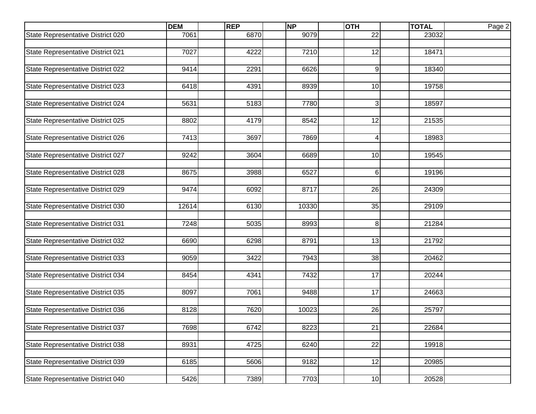|                                          | <b>DEM</b> | <b>REP</b> | <b>NP</b> | <b>OTH</b>      | <b>TOTAL</b> | Page 2 |
|------------------------------------------|------------|------------|-----------|-----------------|--------------|--------|
| State Representative District 020        | 7061       | 6870       | 9079      | 22              | 23032        |        |
|                                          |            |            |           |                 |              |        |
| State Representative District 021        | 7027       | 4222       | 7210      | 12              | 18471        |        |
|                                          |            |            |           |                 |              |        |
| State Representative District 022        | 9414       | 2291       | 6626      | $\overline{9}$  | 18340        |        |
|                                          |            |            |           | 10              |              |        |
| State Representative District 023        | 6418       | 4391       | 8939      |                 | 19758        |        |
| State Representative District 024        | 5631       | 5183       | 7780      | 3 <sup>1</sup>  | 18597        |        |
|                                          |            |            |           |                 |              |        |
| State Representative District 025        | 8802       | 4179       | 8542      | 12              | 21535        |        |
|                                          |            |            |           |                 |              |        |
| State Representative District 026        | 7413       | 3697       | 7869      | $\overline{4}$  | 18983        |        |
|                                          |            |            |           |                 |              |        |
| State Representative District 027        | 9242       | 3604       | 6689      | 10              | 19545        |        |
|                                          |            |            |           |                 |              |        |
| State Representative District 028        | 8675       | 3988       | 6527      | $6 \,$          | 19196        |        |
|                                          |            |            |           |                 |              |        |
| State Representative District 029        | 9474       | 6092       | 8717      | 26              | 24309        |        |
| State Representative District 030        | 12614      | 6130       | 10330     | 35              | 29109        |        |
|                                          |            |            |           |                 |              |        |
| State Representative District 031        | 7248       | 5035       | 8993      | 8 <sup>1</sup>  | 21284        |        |
|                                          |            |            |           |                 |              |        |
| State Representative District 032        | 6690       | 6298       | 8791      | 13              | 21792        |        |
|                                          |            |            |           |                 |              |        |
| State Representative District 033        | 9059       | 3422       | 7943      | 38              | 20462        |        |
|                                          |            |            |           |                 |              |        |
| State Representative District 034        | 8454       | 4341       | 7432      | 17              | 20244        |        |
|                                          | 8097       | 7061       | 9488      | 17              | 24663        |        |
| State Representative District 035        |            |            |           |                 |              |        |
| State Representative District 036        | 8128       | 7620       | 10023     | 26              | 25797        |        |
|                                          |            |            |           |                 |              |        |
| <b>State Representative District 037</b> | 7698       | 6742       | 8223      | 21              | 22684        |        |
|                                          |            |            |           |                 |              |        |
| State Representative District 038        | 8931       | 4725       | 6240      | $\overline{22}$ | 19918        |        |
|                                          |            |            |           |                 |              |        |
| State Representative District 039        | 6185       | 5606       | 9182      | 12              | 20985        |        |
|                                          |            |            |           |                 |              |        |
| State Representative District 040        | 5426       | 7389       | 7703      | 10              | 20528        |        |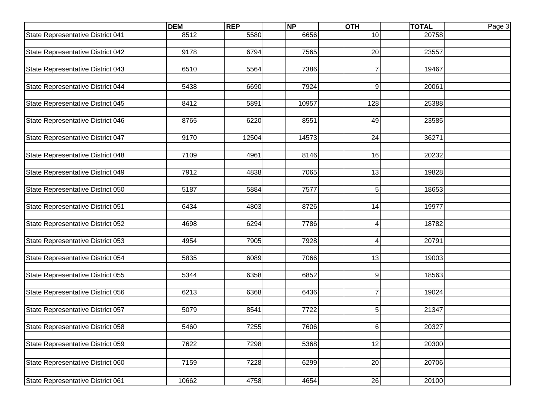|                                   | <b>DEM</b> | <b>REP</b> | <b>NP</b> | <b>OTH</b>     | <b>TOTAL</b> | Page 3 |
|-----------------------------------|------------|------------|-----------|----------------|--------------|--------|
| State Representative District 041 | 8512       | 5580       | 6656      | 10             | 20758        |        |
|                                   |            |            |           |                |              |        |
| State Representative District 042 | 9178       | 6794       | 7565      | 20             | 23557        |        |
|                                   |            |            |           |                |              |        |
| State Representative District 043 | 6510       | 5564       | 7386      | $\overline{7}$ | 19467        |        |
|                                   |            |            |           |                |              |        |
| State Representative District 044 | 5438       | 6690       | 7924      | $9\,$          | 20061        |        |
|                                   |            |            |           |                |              |        |
| State Representative District 045 | 8412       | 5891       | 10957     | 128            | 25388        |        |
| State Representative District 046 | 8765       | 6220       | 8551      | 49             | 23585        |        |
|                                   |            |            |           |                |              |        |
| State Representative District 047 | 9170       | 12504      | 14573     | 24             | 36271        |        |
|                                   |            |            |           |                |              |        |
| State Representative District 048 | 7109       | 4961       | 8146      | 16             | 20232        |        |
|                                   |            |            |           |                |              |        |
| State Representative District 049 | 7912       | 4838       | 7065      | 13             | 19828        |        |
|                                   |            |            |           |                |              |        |
| State Representative District 050 | 5187       | 5884       | 7577      | 5              | 18653        |        |
|                                   |            |            |           |                |              |        |
| State Representative District 051 | 6434       | 4803       | 8726      | 14             | 19977        |        |
|                                   |            |            |           |                |              |        |
| State Representative District 052 | 4698       | 6294       | 7786      | 4              | 18782        |        |
|                                   |            |            |           |                |              |        |
| State Representative District 053 | 4954       | 7905       | 7928      | $\overline{4}$ | 20791        |        |
|                                   |            |            |           |                |              |        |
| State Representative District 054 | 5835       | 6089       | 7066      | 13             | 19003        |        |
| State Representative District 055 | 5344       | 6358       | 6852      | 9              | 18563        |        |
|                                   |            |            |           |                |              |        |
| State Representative District 056 | 6213       | 6368       | 6436      | $\overline{7}$ | 19024        |        |
|                                   |            |            |           |                |              |        |
| State Representative District 057 | 5079       | 8541       | 7722      | 5              | 21347        |        |
|                                   |            |            |           |                |              |        |
| State Representative District 058 | 5460       | 7255       | 7606      | $6 \mid$       | 20327        |        |
|                                   |            |            |           |                |              |        |
| State Representative District 059 | 7622       | 7298       | 5368      | 12             | 20300        |        |
|                                   |            |            |           |                |              |        |
| State Representative District 060 | 7159       | 7228       | 6299      | 20             | 20706        |        |
|                                   |            |            |           |                |              |        |
| State Representative District 061 | 10662      | 4758       | 4654      | 26             | 20100        |        |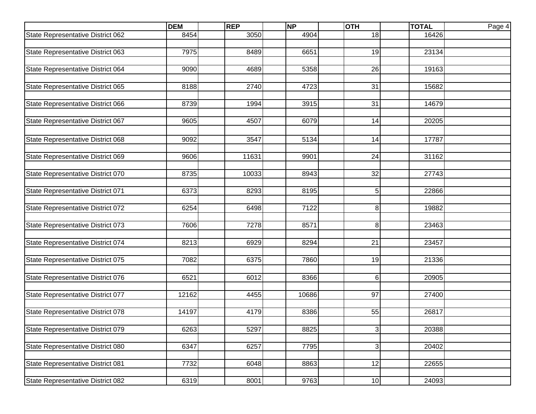|                                   | <b>DEM</b> | <b>REP</b> | <b>NP</b> | <b>OTH</b>     | <b>TOTAL</b> | Page 4 |
|-----------------------------------|------------|------------|-----------|----------------|--------------|--------|
| State Representative District 062 | 8454       | 3050       | 4904      | 18             | 16426        |        |
|                                   |            |            |           |                |              |        |
| State Representative District 063 | 7975       | 8489       | 6651      | 19             | 23134        |        |
|                                   |            |            |           |                |              |        |
| State Representative District 064 | 9090       | 4689       | 5358      | 26             | 19163        |        |
|                                   |            |            |           |                |              |        |
| State Representative District 065 | 8188       | 2740       | 4723      | 31             | 15682        |        |
|                                   |            |            |           |                |              |        |
| State Representative District 066 | 8739       | 1994       | 3915      | 31             | 14679        |        |
|                                   |            |            |           |                |              |        |
| State Representative District 067 | 9605       | 4507       | 6079      | 14             | 20205        |        |
|                                   |            |            |           |                |              |        |
| State Representative District 068 | 9092       | 3547       | 5134      | 14             | 17787        |        |
|                                   |            |            |           |                |              |        |
| State Representative District 069 | 9606       | 11631      | 9901      | 24             | 31162        |        |
|                                   |            |            |           |                |              |        |
| State Representative District 070 | 8735       | 10033      | 8943      | 32             | 27743        |        |
| State Representative District 071 | 6373       | 8293       | 8195      | 5 <sup>1</sup> | 22866        |        |
|                                   |            |            |           |                |              |        |
| State Representative District 072 | 6254       | 6498       | 7122      | 8 <sup>1</sup> | 19882        |        |
|                                   |            |            |           |                |              |        |
| State Representative District 073 | 7606       | 7278       | 8571      | 8              | 23463        |        |
|                                   |            |            |           |                |              |        |
| State Representative District 074 | 8213       | 6929       | 8294      | 21             | 23457        |        |
|                                   |            |            |           |                |              |        |
| State Representative District 075 | 7082       | 6375       | 7860      | 19             | 21336        |        |
|                                   |            |            |           |                |              |        |
| State Representative District 076 | 6521       | 6012       | 8366      | $6 \,$         | 20905        |        |
|                                   |            |            |           |                |              |        |
| State Representative District 077 | 12162      | 4455       | 10686     | 97             | 27400        |        |
|                                   |            |            |           |                |              |        |
| State Representative District 078 | 14197      | 4179       | 8386      | 55             | 26817        |        |
|                                   |            |            |           |                |              |        |
| State Representative District 079 | 6263       | 5297       | 8825      | $\overline{3}$ | 20388        |        |
|                                   |            |            |           |                |              |        |
| State Representative District 080 | 6347       | 6257       | 7795      | $\overline{3}$ | 20402        |        |
|                                   |            |            |           |                |              |        |
| State Representative District 081 | 7732       | 6048       | 8863      | 12             | 22655        |        |
|                                   |            |            |           |                |              |        |
| State Representative District 082 | 6319       | 8001       | 9763      | 10             | 24093        |        |